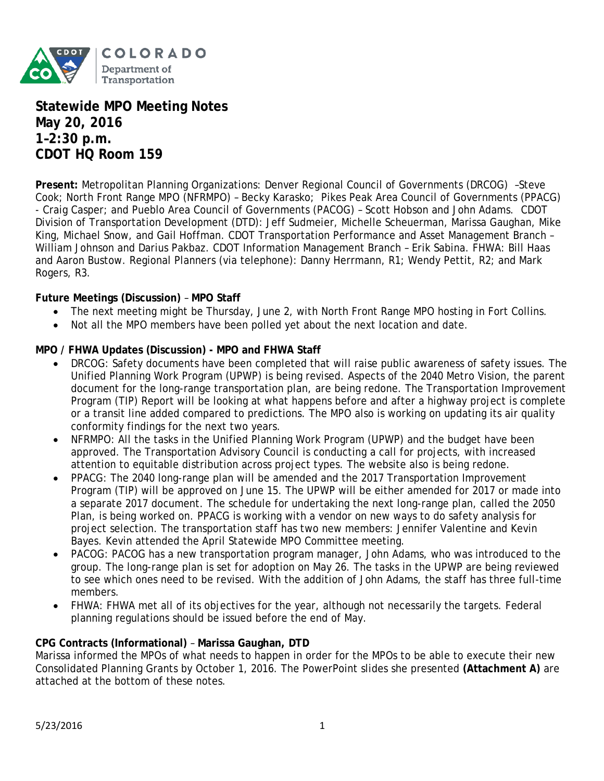

**Statewide MPO Meeting Notes May 20, 2016 1–2:30 p.m. CDOT HQ Room 159**

**Present:** Metropolitan Planning Organizations: Denver Regional Council of Governments (DRCOG) –Steve Cook; North Front Range MPO (NFRMPO) – Becky Karasko; Pikes Peak Area Council of Governments (PPACG) - Craig Casper; and Pueblo Area Council of Governments (PACOG) – Scott Hobson and John Adams. CDOT Division of Transportation Development (DTD): Jeff Sudmeier, Michelle Scheuerman, Marissa Gaughan, Mike King, Michael Snow, and Gail Hoffman. CDOT Transportation Performance and Asset Management Branch – William Johnson and Darius Pakbaz. CDOT Information Management Branch – Erik Sabina. FHWA: Bill Haas and Aaron Bustow. Regional Planners (via telephone): Danny Herrmann, R1; Wendy Pettit, R2; and Mark Rogers, R3.

### **Future Meetings (Discussion)** – **MPO Staff**

- The next meeting might be Thursday, June 2, with North Front Range MPO hosting in Fort Collins.
- Not all the MPO members have been polled yet about the next location and date.

### **MPO / FHWA Updates (Discussion) - MPO and FHWA Staff**

- DRCOG: Safety documents have been completed that will raise public awareness of safety issues. The Unified Planning Work Program (UPWP) is being revised. Aspects of the 2040 Metro Vision, the parent document for the long-range transportation plan, are being redone. The Transportation Improvement Program (TIP) Report will be looking at what happens before and after a highway project is complete or a transit line added compared to predictions. The MPO also is working on updating its air quality conformity findings for the next two years.
- NFRMPO: All the tasks in the Unified Planning Work Program (UPWP) and the budget have been approved. The Transportation Advisory Council is conducting a call for projects, with increased attention to equitable distribution across project types. The website also is being redone.
- PPACG: The 2040 long-range plan will be amended and the 2017 Transportation Improvement Program (TIP) will be approved on June 15. The UPWP will be either amended for 2017 or made into a separate 2017 document. The schedule for undertaking the next long-range plan, called the 2050 Plan, is being worked on. PPACG is working with a vendor on new ways to do safety analysis for project selection. The transportation staff has two new members: Jennifer Valentine and Kevin Bayes. Kevin attended the April Statewide MPO Committee meeting.
- PACOG: PACOG has a new transportation program manager, John Adams, who was introduced to the group. The long-range plan is set for adoption on May 26. The tasks in the UPWP are being reviewed to see which ones need to be revised. With the addition of John Adams, the staff has three full-time members.
- FHWA: FHWA met all of its objectives for the year, although not necessarily the targets. Federal planning regulations should be issued before the end of May.

### **CPG Contracts (Informational)** – **Marissa Gaughan, DTD**

Marissa informed the MPOs of what needs to happen in order for the MPOs to be able to execute their new Consolidated Planning Grants by October 1, 2016. The PowerPoint slides she presented **(Attachment A)** are attached at the bottom of these notes.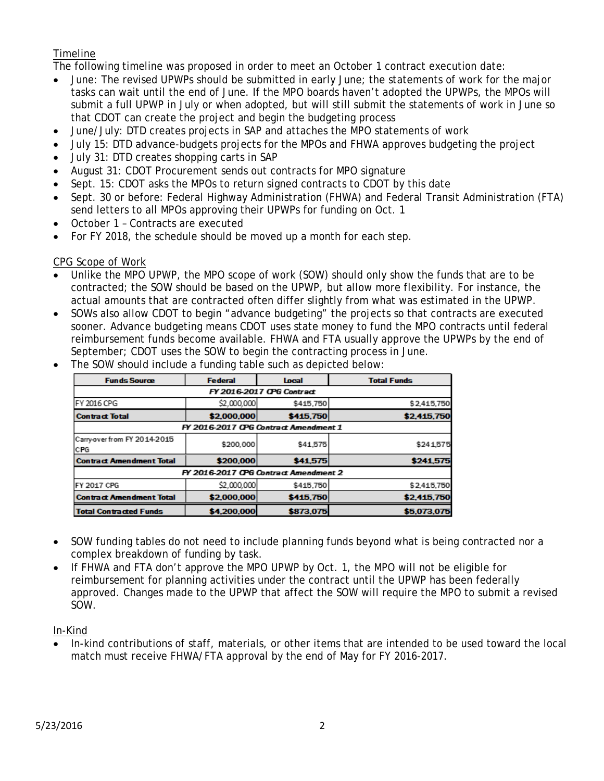# Timeline

The following timeline was proposed in order to meet an October 1 contract execution date:

- June: The revised UPWPs should be submitted in early June; the statements of work for the major tasks can wait until the end of June. If the MPO boards haven't adopted the UPWPs, the MPOs will submit a full UPWP in July or when adopted, but will still submit the statements of work in June so that CDOT can create the project and begin the budgeting process
- June/July: DTD creates projects in SAP and attaches the MPO statements of work
- July 15: DTD advance-budgets projects for the MPOs and FHWA approves budgeting the project
- July 31: DTD creates shopping carts in SAP
- August 31: CDOT Procurement sends out contracts for MPO signature
- Sept. 15: CDOT asks the MPOs to return signed contracts to CDOT by this date
- Sept. 30 or before: Federal Highway Administration (FHWA) and Federal Transit Administration (FTA) send letters to all MPOs approving their UPWPs for funding on Oct. 1
- October 1 Contracts are executed
- For FY 2018, the schedule should be moved up a month for each step.

### CPG Scope of Work

- Unlike the MPO UPWP, the MPO scope of work (SOW) should only show the funds that are to be contracted; the SOW should be based on the UPWP, but allow more flexibility. For instance, the actual amounts that are contracted often differ slightly from what was estimated in the UPWP.
- SOWs also allow CDOT to begin "advance budgeting" the projects so that contracts are executed sooner. Advance budgeting means CDOT uses state money to fund the MPO contracts until federal reimbursement funds become available. FHWA and FTA usually approve the UPWPs by the end of September; CDOT uses the SOW to begin the contracting process in June.

| <b>Funds Source</b>                   | <b>Federal</b> | Local     | <b>Total Funds</b> |
|---------------------------------------|----------------|-----------|--------------------|
| FY 2016-2017 OPG Contract             |                |           |                    |
| FY 2016 CPG                           | \$2,000,000    | \$415,750 | \$2,415,750        |
| <b>Contract Total</b>                 | \$2,000,000    | \$415,750 | \$2,415,750        |
| FY 2016-2017 CPG Contract Amendment 1 |                |           |                    |
| Carry-over from FY 2014-2015<br>CPG   | \$200,000      | \$41.575  | \$241575           |
| <b>Contract Amendment Total</b>       | \$200,000      | \$41,575  | \$241,575          |
| FY 2016-2017 CPG Contract Amendment 2 |                |           |                    |
| <b>FY 2017 CPG</b>                    | \$2,000,000    | \$415,750 | \$2,415,750        |
| <b>Contract Amendment Total</b>       | \$2,000,000    | \$415.750 | \$2,415,750        |
| <b>Total Contracted Funds</b>         | \$4,200,000    | \$873,075 | \$5,073,075        |

• The SOW should include a funding table such as depicted below:

- SOW funding tables do not need to include planning funds beyond what is being contracted nor a complex breakdown of funding by task.
- If FHWA and FTA don't approve the MPO UPWP by Oct. 1, the MPO will not be eligible for reimbursement for planning activities under the contract until the UPWP has been federally approved. Changes made to the UPWP that affect the SOW will require the MPO to submit a revised SOW.

## In-Kind

• In-kind contributions of staff, materials, or other items that are intended to be used toward the local match must receive FHWA/FTA approval by the end of May for FY 2016-2017.